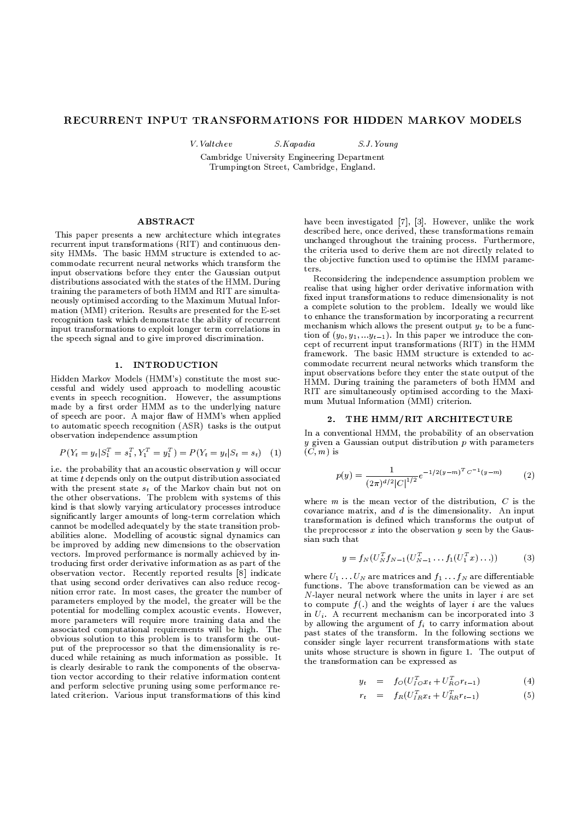# RECURRENT INPUT TRANSFORMATIONS FOR HIDDEN MARKOV MODELS

V. Valtchev

 $S.J. Young$ 

S.Kapadia Cambridge University Engineering Department Trumpington Street. Cambridge. England.

## **ABSTRACT**

This paper presents a new architecture which integrates recurrent input transformations (RIT) and continuous density HMMs. The basic HMM structure is extended to accommodate recurrent neural networks which transform the input observations before they enter the Gaussian output distributions associated with the states of the HMM. During training the parameters of both HMM and RIT are simultaneously optimised according to the Maximum Mutual Information (MMI) criterion. Results are presented for the E-set recognition task which demonstrate the ability of recurrent input transformations to exploit longer term correlations in the speech signal and to give improved discrimination.

# 1. INTRODUCTION

Hidden Markov Models (HMM's) constitute the most successful and widely used approach to modelling acoustic events in speech recognition. However, the assumptions made by a first order HMM as to the underlying nature of speech are poor. A major flaw of HMM's when applied to automatic speech recognition (ASR) tasks is the output observation independence assumption

$$
P(Y_t = y_t | S_1^T = s_1^T, Y_1^T = y_1^T) = P(Y_t = y_t | S_t = s_t)
$$
 (1)

i.e. the probability that an acoustic observation  $y$  will occur at time  $t$  depends only on the output distribution associated with the present state  $s_t$  of the Markov chain but not on<br>the other observations. The problem with systems of this kind is that slowly varying articulatory processes introduce significantly larger amounts of long-term correlation which cannot be modelled adequately by the state transition probabilities alone. Modelling of acoustic signal dynamics can be improved by adding new dimensions to the observation vectors. Improved performance is normally achieved by introducing first order derivative information as as part of the observation vector. Recently reported results [8] indicate that using second order derivatives can also reduce recognition error rate. In most cases, the greater the number of parameters employed by the model, the greater will be the potential for modelling complex acoustic events. However, more parameters will require more training data and the associated computational requirements will be high. The obvious solution to this problem is to transform the output of the preprocessor so that the dimensionality is reduced while retaining as much information as possible. It is clearly desirable to rank the components of the observation vector according to their relative information content and perform selective pruning using some performance related criterion. Various input transformations of this kind

have been investigated [7], [3]. However, unlike the work described here, once derived, these transformations remain unchanged throughout the training process. Furthermore, the criteria used to derive them are not directly related to the objective function used to optimise the HMM parameters.

Reconsidering the independence assumption problem we realise that using higher order derivative information with fixed input transformations to reduce dimensionality is not a complete solution to the problem. Ideally we would like to enhance the transformation by incorporating a recurrent mechanism which allows the present output  $y_t$  to be a function of  $(y_0, y_1, \ldots, y_{t-1})$ . In this paper we introduce the concept of recurrent input transformations (RIT) in the HMM framework. The basic HMM structure is extended to accommodate recurrent neural networks which transform the input observations before they enter the state output of the HMM. During training the parameters of both HMM and RIT are simultaneously optimised according to the Maximum Mutual Information (MMI) criterion.

### 2. THE HMM/RIT ARCHITECTURE

In a conventional HMM, the probability of an observation  $y$  given a Gaussian output distribution  $p$  with parameters  $(C, m)$  is

$$
p(y) = \frac{1}{(2\pi)^{d/2} |C|^{1/2}} e^{-1/2(y-m)^T C^{-1}(y-m)}
$$
 (2)

where  $m$  is the mean vector of the distribution,  $C$  is the covariance matrix, and  $d$  is the dimensionality. An input transformation is defined which transforms the output of the preprocessor  $x$  into the observation  $y$  seen by the Gaussian such that

$$
y = f_N(U_N^T f_{N-1}(U_{N-1}^T \dots f_1(U_1^T x) \dots))
$$
 (3)

where  $U_1 \ldots U_N$  are matrices and  $f_1 \ldots f_N$  are differentiable functions. The above transformation can be viewed as an  $N$ -layer neural network where the units in layer *i* are set to compute  $f(.)$  and the weights of laver *i* are the values in  $U_i$ . A recurrent mechanism can be incorporated into 3 by allowing the argument of  $f_i$  to carry information about past states of the transform. In the following sections we consider single layer recurrent transformations with state units whose structure is shown in figure 1. The output of the transformation can be expressed as

$$
y_t = f_O(U_{IO}^T x_t + U_{RO}^T r_{t-1})
$$
\n(4)

$$
r_t = f_R(U_{IR}^T x_t + U_{RR}^T r_{t-1})
$$
\n(5)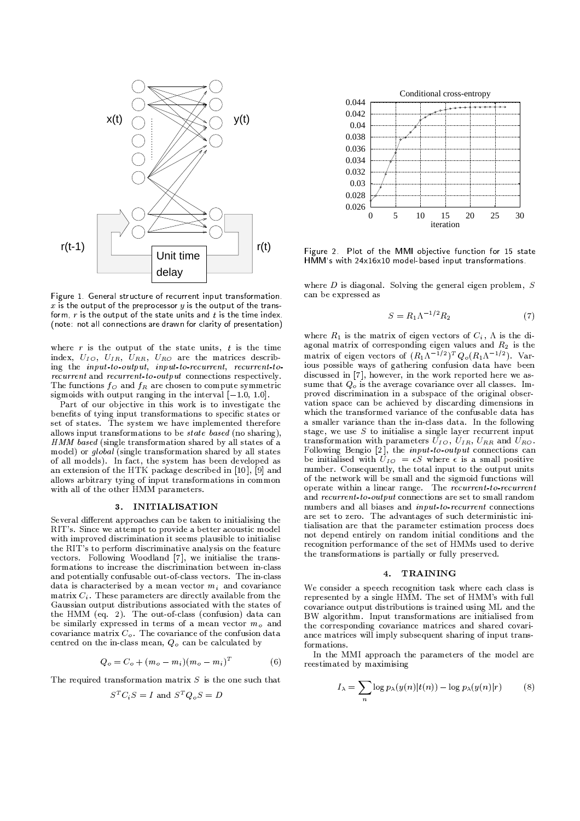

<sup>Æ</sup> <sup>º</sup> <sup>&</sup>gt; LGM)ZIBQ-@IM)W5@IM[QIS\M)ZIBRWIA#B\$W]A#Q5OPBPL7L7Q%A^> L\_M)ZIBQ-@IM)W5@IM[QIS\M)ZIBM7A#J5HILX` <sup>Î</sup> <sup>¾</sup> S
Q%A'Ybac> LdM,ZIBQ(@IM,W5@IMGQIS[M,ZIBL7MXJeMXBf@5H%> MXLdJ5HIgh> LdM)ZIBM7>iYB3>jHIg5BlkmE Figure 1. General structure of recurrent input transformation. <sup>n</sup> HIQ%MNB5oGHIQ%MpJ5KqKPOPQ-H5HIBPOM7> Q-HIL[JIA#BTg(A#JrHsSUQ%AtO\$K JIA
> M
uvQ]SGW]A#BPL7B\$HIMXJeM'> Q-H%w

index,  $U_{IO}$ ,  $U_{IR}$ ,  $U_{RR}$ ,  $U_{RO}$  are the matrices describ-The functions  $f_{\Omega}$  and  $f_{R}$  are chosen to compute symmetric sum  $recurrent$  and  $recurrent-to-output$  connections respectively. sigmoids with output ranging in the interval  $[-1.0, 1.0]$ . <sup>Î</sup> <sup>¾</sup> <sup>È</sup> <sup>È</sup> <sup>È</sup> <sup>È</sup>  $\bullet$ ë?Üân.ÕEva "öä" \*õkâ(Öüâ.Õeva") a $\bullet$ äkâ(Öüâ.Õeva) a $\bullet$ 

Part of our objective in this work is to investigate the benefits of tying input transformations to specific states or set of states. The system we have implemented therefore allows input transformations to be *state based* (no sharing). HMM based (single transformation shared by all states of a  $\;$  tra. model) or  $global$  (single transformation shared by all states of all models). In fact, the system has been developed as an extension of the HTK package described in [10], [9] and allows arbitrary tying of input transformations in common with all of the other HMM parameters. ä\$Ôá5/7Ó\$Ô Þ^ãLÜâ.Õ#"\*Õhá\$"\_ákâ.ÕÜâ(Õ

data is characterised by a mean vector  $m_i$ , and covariance  $\qquad$   $\mathbf W$ matrix  $C_i$ . These parameters are directly available from the  $\frac{C_i}{C_i}$ be similarly expressed in terms of a mean vector  $m_{\odot}$  and  $\qquad$  the i covariance matrix  $C_{\circ}$ . The covariance of the confusion data centred on the in-class mean,  $Q_{\circ}$  can be calculated by Several different approaches can be taken to initialising the RIT's. Since we attempt to provide a better acoustic model with improved discrimination it seems plausible to initialise the RIT's to perform discriminative analysis on the feature  $\rm{vectors.}$  Following Woodland [7], we initialise the transformations to increase the discrimination between in-class and potentially confusable out-of-class vectors. The in-class Gaussian output distributions associated with the states of the HMM (eq. 2). The out-of-class (confusion) data can

$$
Q_o = C_o + (m_o - m_i)(m_o - m_i)^T
$$
 (6)

The required transformation matrix  $S$  is the one such that

$$
S^T C_i S = I
$$
 and  $S^T Q_o S = D$ 



Figure 2. Plot of the MMI objective function for 15 state  $H\tilde{M}M$ 's with 24x16x10 model-based input transformations.

where D is diagonal. Solving the general eigen problem,  $S$ can be expressed as

$$
S = R_1 \Lambda^{-1/2} R_2 \tag{7}
$$

where  $R_1$  is the matrix of eigen vectors of  $C_i$ . A is the di-. . . . where r is the output of the state units, t is the time agonal matrix of corresponding eigen values and  $R_2$  is the index  $L_1 = L_2 = L_3 = V_1$ . sume that  $Q_{\circ}$  is the average covariance over all classes. Imtransformation with parameters  $U_{LO}$ ,  $U_{IB}$ ,  $U_{BB}$  and  $U_{BO}$ .  $\tau \sim -1$ matrix of eigen vectors of  $(R_1\Lambda^{-1/2})^TQ_o(R_1\Lambda^{-1/2})$ . Various possible ways of gathering confusion data have been discussed in [7], however, in the work reported here we asproved discrimination in a subspace of the original observation space can be achieved by discarding dimensions in which the transformed variance of the confusable data has a smaller variance than the in-class data. In the following stage, we use S to initialise a single laver recurrent input ¨RK?T@T,K?ZW)@3>-"/3>-?),K` . tQW98VA/ \KL3.3>/\98),KL3A6G\!?3 be initialised with  $U_{IO} = \epsilon S$  where  $\epsilon$  is a small positive number. Consequently, the total input to the output units of the network will be small and the sigmoid functions will operate within a linear range. The *recurrent-to-recurrent* and  $\;recurrent{\;to\;}output$  connections are set to small random **3.** INITIALISATION  $\qquad \qquad \text{numbers and all biases and *input-to-recurrent* connections$ are set to zero. The advantages of such deterministic initialisation are that the parameter estimation process does not depend entirely on random initial conditions and the recognition performance of the set of HMMs used to derive the transformations is partially or fully preserved. 

## 4. TRAINING

We consider a speech recognition task where each class is represented by a single HMM. The set of HMM's with full covariance output distributions is trained using ML and the BW algorithm. Input transformations are initialised from the corresponding covariance matrices and shared covariance matrices will imply subsequent sharing of input transformations.

In the MMI approach the parameters of the model are reestimated by maximising

$$
I_{\lambda} = \sum_{n} \log p_{\lambda}(y(n)|t(n)) - \log p_{\lambda}(y(n)|r)
$$
 (8)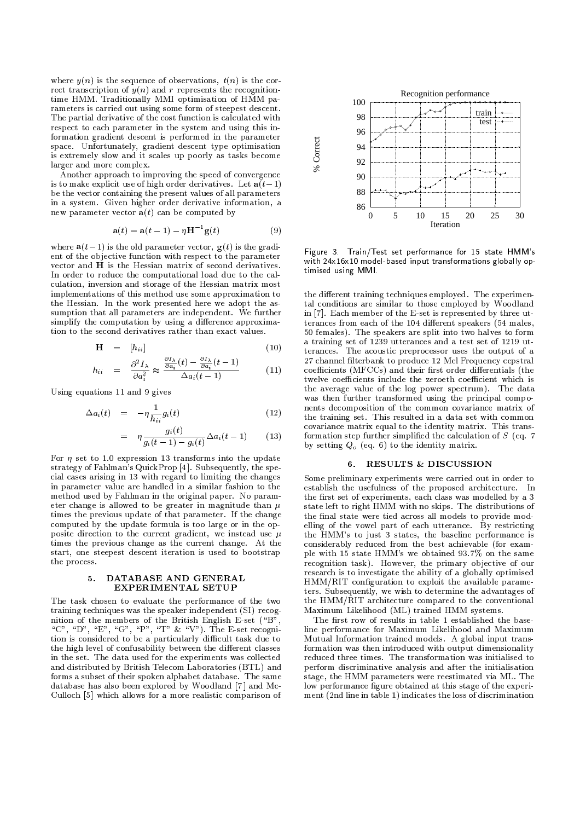where  $y(n)$  is the sequence of observations,  $t(n)$  is the correct transcription of  $y(n)$  and r represents the recognitiontime HMM. Traditionally MMI optimisation of HMM parameters is carried out using some form of steepest descent. The partial derivative of the cost function is calculated with respect to each parameter in the system and using this information gradient descent is performed in the parameter space. Unfortunately, gradient descent type optimisation is extremely slow and it scales up poorly as tasks become larger and more complex.

Another approach to improving the speed of convergence is to make explicit use of high order derivatives. Let  $a(t-1)$ be the vector containing the present values of all parameters in a system. Given higher order derivative information, a new parameter vector  $a(t)$  can be computed by

$$
\mathbf{a}(t) = \mathbf{a}(t-1) - \eta \mathbf{H}^{-1} \mathbf{g}(t)
$$
\n(9)

where  $a(t-1)$  is the old parameter vector,  $g(t)$  is the gradient of the objective function with respect to the parameter vector and H is the Hessian matrix of second derivatives. In order to reduce the computational load due to the calculation, inversion and storage of the Hessian matrix most implementations of this method use some approximation to the Hessian. In the work presented here we adopt the assumption that all parameters are independent. We further simplify the computation by using a difference approximation to the second derivatives rather than exact values.

$$
\mathbf{H} = [h_{ii}] \tag{10}
$$

$$
h_{ii} = \frac{\partial^2 I_{\lambda}}{\partial a_i^2} \approx \frac{\frac{\partial I_{\lambda}}{\partial a_i}(t) - \frac{\partial I_{\lambda}}{\partial a_i}(t-1)}{\Delta a_i(t-1)}
$$
(11)

Using equations 11 and 9 gives

$$
\Delta a_i(t) = -\eta \frac{1}{h_{ii}} g_i(t) \tag{12}
$$

$$
= \eta \frac{g_i(t)}{g_i(t-1) - g_i(t)} \Delta a_i(t-1) \qquad (13)
$$

For  $\eta$  set to 1.0 expression 13 transforms into the update strategy of Fahlman's QuickProp [4]. Subsequently, the special cases arising in 13 with regard to limiting the changes in parameter value are handled in a similar fashion to the method used by Fahlman in the original paper. No parameter change is allowed to be greater in magnitude than  $\mu$ times the previous update of that parameter. If the change computed by the update formula is too large or in the opposite direction to the current gradient, we instead use  $\mu$ times the previous change as the current change. At the start, one steepest descent iteration is used to bootstrap the process.

### DATABASE AND GENERAL 5. EXPERIMENTAL SETUP

The task chosen to evaluate the performance of the two training techniques was the speaker independent (SI) recognition of the members of the British English E-set ("B", "C", "D", "E", "G", "P", "T" & "V"). The E-set recognition is considered to be a particularly difficult task due to the high level of confusability between the different classes in the set. The data used for the experiments was collected and distributed by British Telecom Laboratories (BTL) and forms a subset of their spoken alphabet database. The same database has also been explored by Woodland [7] and Mc-Culloch [5] which allows for a more realistic comparison of



Figure 3. Train/Test set performance for 15 state HMM's with 24x16x10 model-based input transformations globally optimised using MMI.

the different training techniques employed. The experimental conditions are similar to those employed by Woodland in [7]. Each member of the E-set is represented by three utterances from each of the 104 different speakers (54 males, 50 females). The speakers are split into two halves to form a training set of 1239 utterances and a test set of 1219 utterances. The acoustic preprocessor uses the output of a 27 channel filterbank to produce 12 Mel Frequency cepstral coefficients (MFCCs) and their first order differentials (the twelve coefficients include the zeroeth coefficient which is the average value of the log power spectrum). The data was then further transformed using the principal components decomposition of the common covariance matrix of the training set. This resulted in a data set with common covariance matrix equal to the identity matrix. This transformation step further simplified the calculation of  $S$  (eq. 7) by setting  $Q_o$  (eq. 6) to the identity matrix.

### 6. RESULTS & DISCUSSION

Some preliminary experiments were carried out in order to establish the usefulness of the proposed architecture. In the first set of experiments, each class was modelled by a 3 state left to right HMM with no skips. The distributions of the final state were tied across all models to provide modelling of the vowel part of each utterance. By restricting the HMM's to just 3 states, the baseline performance is considerably reduced from the best achievable (for example with 15 state HMM's we obtained 93.7% on the same recognition task). However, the primary objective of our research is to investigate the ability of a globally optimised HMM/RIT configuration to exploit the available parameters. Subsequently, we wish to determine the advantages of the HMM/RIT architecture compared to the conventional Maximum Likelihood (ML) trained HMM systems.

The first row of results in table 1 established the baseline performance for Maximum Likelihood and Maximum Mutual Information trained models. A global input transformation was then introduced with output dimensionality reduced three times. The transformation was initialised to perform discriminative analysis and after the initialisation stage, the HMM parameters were reestimated via ML. The low performance figure obtained at this stage of the experiment (2nd line in table 1) indicates the loss of discrimination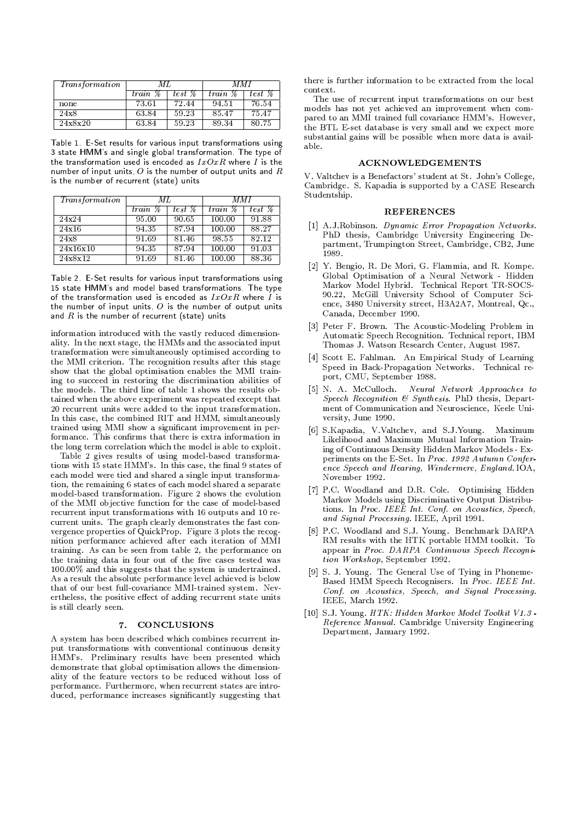| <i>Transformation</i> | MI.      |        | M M I   |        |
|-----------------------|----------|--------|---------|--------|
|                       | train \% | test % | train % | test % |
| none                  | 73.61    | 72.44  | 94.51   | 76.54  |
| 24x8                  | 63.84    | 59.23  | 85.47   | 75.47  |
| 24x8x20               | 63.84    | 59.23  | 89.34   | 80.75  |

Table 1 E-Set results for various input transformations using 3 state HMM's and single global transformation. The type of the transformation used is encoded as  $IxOxR$  where I is the number of input units,  $O$  is the number of output units and  $R$ is the number of recurrent (state) units

| <i>Transformation</i> | MT.     |                           | MMI     |                    |
|-----------------------|---------|---------------------------|---------|--------------------|
|                       | train % | $tes\bar{t}\ \mathscr{C}$ | train % | test %             |
| 24x24                 | 95.00   | 90.65                     | 100.00  | 91.88              |
| 24x16                 | 94.35   | 87.94                     | 100.00  | $88.\overline{27}$ |
| $\overline{24}x8$     | 91.69   | 81.46                     | 98.55   | 82.12              |
| 24x16x10              | 94.35   | 87.94                     | 100.00  | 91.03              |
| 24x8x12               | 91.69   | 81.46                     | 100.00  | 88.36              |

Table 2. E-Set results for various input transformations using 15 state HMM's and model based transformations. The type of the transformation used is encoded as  $IxOxR$  where I is the number of input units  $O$  is the number of output units and  $R$  is the number of recurrent (state) units

information introduced with the vastly reduced dimensionality. In the next stage, the HMMs and the associated input transformation were simultaneously optimised according to the MMI criterion. The recognition results after this stage show that the global optimisation enables the MMI training to succeed in restoring the discrimination abilities of the models. The third line of table 1 shows the results obtained when the above experiment was repeated except that 20 recurrent units were added to the input transformation. In this case, the combined RIT and HMM, simultaneously trained using MMI show a significant improvement in performance. This confirms that there is extra information in the long term correlation which the model is able to exploit.

Table 2 gives results of using model-based transformations with 15 state HMM's. In this case, the final 9 states of each model were tied and shared a single input transformation, the remaining 6 states of each model shared a separate model-based transformation. Figure 2 shows the evolution of the MMI objective function for the case of model-based recurrent input transformations with 16 outputs and 10 recurrent units. The graph clearly demonstrates the fast convergence properties of QuickProp. Figure 3 plots the recognition performance achieved after each iteration of MMI training. As can be seen from table 2, the performance on the training data in four out of the five cases tested was 100.00% and this suggests that the system is undertrained. As a result the absolute performance level achieved is below that of our best full-covariance MMI-trained system. Nevertheless, the positive effect of adding recurrent state units is still clearly seen.

# 7. CONCLUSIONS

A system has been described which combines recurrent input transformations with conventional continuous density HMM's. Preliminary results have been presented which demonstrate that global optimisation allows the dimensionality of the feature vectors to be reduced without loss of performance. Furthermore, when recurrent states are introduced, performance increases significantly suggesting that

there is further information to be extracted from the local context.

The use of recurrent input transformations on our best models has not yet achieved an improvement when compared to an MMI trained full covariance HMM's. However, the BTL E-set database is very small and we expect more substantial gains will be possible when more data is available.

### **ACKNOWLEDGEMENTS**

V. Valtchev is a Benefactors' student at St. John's College, Cambridge. S. Kapadia is supported by a CASE Research Studentship.

### **REFERENCES**

- [1] A.J.Robinson. Dynamic Error Propagation Networks. PhD thesis, Cambridge University Engineering Department, Trumpington Street, Cambridge, CB2, June 1989
- [2] Y. Bengio, R. De Mori, G. Flammia, and R. Kompe. Global Optimisation of a Neural Network - Hidden Markov Model Hybrid. Technical Report TR-SOCS-90.22, McGill University School of Computer Science, 3480 University street, H3A2A7, Montreal, Qc., Canada, December 1990.
- [3] Peter F. Brown. The Acoustic-Modeling Problem in Automatic Speech Recognition. Technical report, IBM Thomas J. Watson Research Center, August 1987.
- [4] Scott E. Fahlman. An Empirical Study of Learning Speed in Back-Propagation Networks. Technical report, CMU, September 1988.
- [5] N. A. McCulloch. Neural Network Approaches to Speech Recognition & Synthesis. PhD thesis, Department of Communication and Neuroscience, Keele University, June 1990.
- [6] S.Kapadia, V.Valtchev, and S.J.Young. Maximum Likelihood and Maximum Mutual Information Training of Continuous Density Hidden Markov Models - Experiments on the E-Set. In Proc. 1992 Autumn Conference Speech and Hearing, Windermere, England. IOA, November 1992.
- [7] P.C. Woodland and D.R. Cole. Optimising Hidden Markov Models using Discriminative Output Distributions. In Proc. IEEE Int. Conf. on Acoustics, Speech, and Signal Processing. IEEE, April 1991.
- [8] P.C. Woodland and S.J. Young. Benchmark DARPA RM results with the HTK portable HMM toolkit. To appear in Proc. DARPA Continuous Speech Recognition Workshop, September 1992.
- [9] S. J. Young. The General Use of Tying in Phoneme-Based HMM Speech Recognisers. In Proc. IEEE Int. Conf. on Acoustics, Speech, and Signal Processing. IEEE, March 1992.
- [10] S.J. Young. HTK: Hidden Markov Model Toolkit V1.3 -Reference Manual. Cambridge University Engineering Department, January 1992.